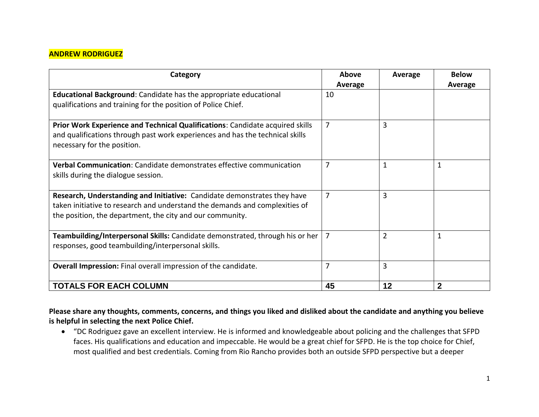### **ANDREW RODRIGUEZ**

| Category                                                                                                                                                                                                             | Above<br>Average | Average        | <b>Below</b><br><b>Average</b> |
|----------------------------------------------------------------------------------------------------------------------------------------------------------------------------------------------------------------------|------------------|----------------|--------------------------------|
| <b>Educational Background:</b> Candidate has the appropriate educational<br>qualifications and training for the position of Police Chief.                                                                            | 10               |                |                                |
| Prior Work Experience and Technical Qualifications: Candidate acquired skills<br>and qualifications through past work experiences and has the technical skills<br>necessary for the position.                        | 7                | 3              |                                |
| Verbal Communication: Candidate demonstrates effective communication<br>skills during the dialogue session.                                                                                                          | 7                | 1              | 1                              |
| Research, Understanding and Initiative: Candidate demonstrates they have<br>taken initiative to research and understand the demands and complexities of<br>the position, the department, the city and our community. | 7                | 3              |                                |
| Teambuilding/Interpersonal Skills: Candidate demonstrated, through his or her<br>responses, good teambuilding/interpersonal skills.                                                                                  | 7                | $\overline{2}$ | $\mathbf{1}$                   |
| Overall Impression: Final overall impression of the candidate.                                                                                                                                                       | 7                | 3              |                                |
| <b>TOTALS FOR EACH COLUMN</b>                                                                                                                                                                                        | 45               | 12             | $\mathbf 2$                    |

**Please share any thoughts, comments, concerns, and things you liked and disliked about the candidate and anything you believe is helpful in selecting the next Police Chief.**

 "DC Rodriguez gave an excellent interview. He is informed and knowledgeable about policing and the challenges that SFPD faces. His qualifications and education and impeccable. He would be a great chief for SFPD. He is the top choice for Chief, most qualified and best credentials. Coming from Rio Rancho provides both an outside SFPD perspective but a deeper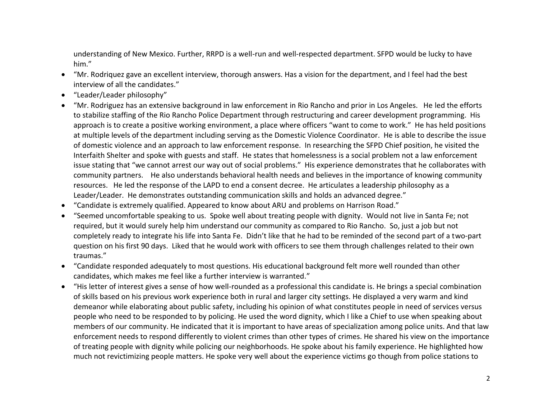understanding of New Mexico. Further, RRPD is a well-run and well-respected department. SFPD would be lucky to have him."

- "Mr. Rodriquez gave an excellent interview, thorough answers. Has a vision for the department, and I feel had the best interview of all the candidates."
- "Leader/Leader philosophy"
- "Mr. Rodriguez has an extensive background in law enforcement in Rio Rancho and prior in Los Angeles. He led the efforts to stabilize staffing of the Rio Rancho Police Department through restructuring and career development programming. His approach is to create a positive working environment, a place where officers "want to come to work." He has held positions at multiple levels of the department including serving as the Domestic Violence Coordinator. He is able to describe the issue of domestic violence and an approach to law enforcement response. In researching the SFPD Chief position, he visited the Interfaith Shelter and spoke with guests and staff. He states that homelessness is a social problem not a law enforcement issue stating that "we cannot arrest our way out of social problems." His experience demonstrates that he collaborates with community partners. He also understands behavioral health needs and believes in the importance of knowing community resources. He led the response of the LAPD to end a consent decree. He articulates a leadership philosophy as a Leader/Leader. He demonstrates outstanding communication skills and holds an advanced degree."
- "Candidate is extremely qualified. Appeared to know about ARU and problems on Harrison Road."
- "Seemed uncomfortable speaking to us. Spoke well about treating people with dignity. Would not live in Santa Fe; not required, but it would surely help him understand our community as compared to Rio Rancho. So, just a job but not completely ready to integrate his life into Santa Fe. Didn't like that he had to be reminded of the second part of a two-part question on his first 90 days. Liked that he would work with officers to see them through challenges related to their own traumas."
- "Candidate responded adequately to most questions. His educational background felt more well rounded than other candidates, which makes me feel like a further interview is warranted."
- "His letter of interest gives a sense of how well-rounded as a professional this candidate is. He brings a special combination of skills based on his previous work experience both in rural and larger city settings. He displayed a very warm and kind demeanor while elaborating about public safety, including his opinion of what constitutes people in need of services versus people who need to be responded to by policing. He used the word dignity, which I like a Chief to use when speaking about members of our community. He indicated that it is important to have areas of specialization among police units. And that law enforcement needs to respond differently to violent crimes than other types of crimes. He shared his view on the importance of treating people with dignity while policing our neighborhoods. He spoke about his family experience. He highlighted how much not revictimizing people matters. He spoke very well about the experience victims go though from police stations to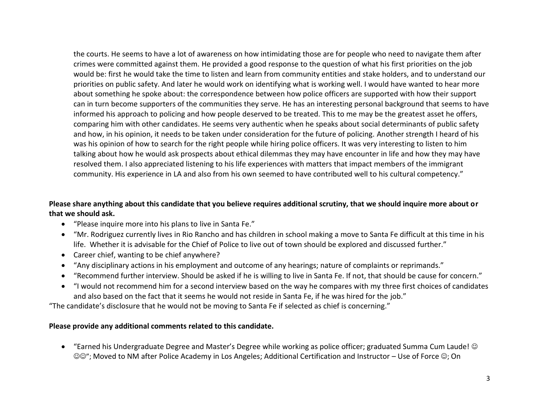the courts. He seems to have a lot of awareness on how intimidating those are for people who need to navigate them after crimes were committed against them. He provided a good response to the question of what his first priorities on the job would be: first he would take the time to listen and learn from community entities and stake holders, and to understand our priorities on public safety. And later he would work on identifying what is working well. I would have wanted to hear more about something he spoke about: the correspondence between how police officers are supported with how their support can in turn become supporters of the communities they serve. He has an interesting personal background that seems to have informed his approach to policing and how people deserved to be treated. This to me may be the greatest asset he offers, comparing him with other candidates. He seems very authentic when he speaks about social determinants of public safety and how, in his opinion, it needs to be taken under consideration for the future of policing. Another strength I heard of his was his opinion of how to search for the right people while hiring police officers. It was very interesting to listen to him talking about how he would ask prospects about ethical dilemmas they may have encounter in life and how they may have resolved them. I also appreciated listening to his life experiences with matters that impact members of the immigrant community. His experience in LA and also from his own seemed to have contributed well to his cultural competency."

# **Please share anything about this candidate that you believe requires additional scrutiny, that we should inquire more about or that we should ask.**

- "Please inquire more into his plans to live in Santa Fe."
- "Mr. Rodriguez currently lives in Rio Rancho and has children in school making a move to Santa Fe difficult at this time in his life. Whether it is advisable for the Chief of Police to live out of town should be explored and discussed further."
- Career chief, wanting to be chief anywhere?
- "Any disciplinary actions in his employment and outcome of any hearings; nature of complaints or reprimands."
- "Recommend further interview. Should be asked if he is willing to live in Santa Fe. If not, that should be cause for concern."
- "I would not recommend him for a second interview based on the way he compares with my three first choices of candidates and also based on the fact that it seems he would not reside in Santa Fe, if he was hired for the job."

"The candidate's disclosure that he would not be moving to Santa Fe if selected as chief is concerning."

#### **Please provide any additional comments related to this candidate.**

 "Earned his Undergraduate Degree and Master's Degree while working as police officer; graduated Summa Cum Laude! ©©"; Moved to NM after Police Academy in Los Angeles; Additional Certification and Instructor – Use of Force ©; On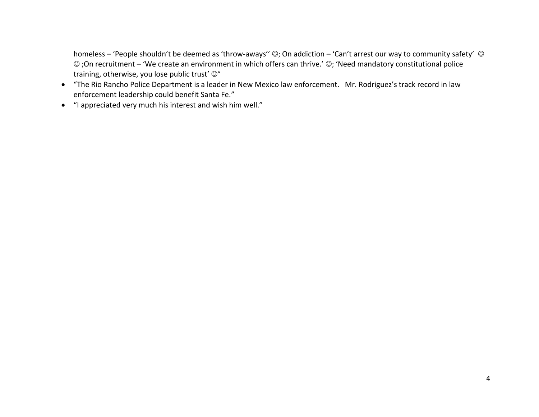homeless – 'People shouldn't be deemed as 'throw-aways''  $\odot$ ; On addiction – 'Can't arrest our way to community safety'  $\odot$  $\odot$ ;On recruitment – 'We create an environment in which offers can thrive.'  $\odot$ ; 'Need mandatory constitutional police training, otherwise, you lose public trust'  $\mathbb{O}^n$ 

- "The Rio Rancho Police Department is a leader in New Mexico law enforcement. Mr. Rodriguez's track record in law enforcement leadership could benefit Santa Fe."
- "I appreciated very much his interest and wish him well."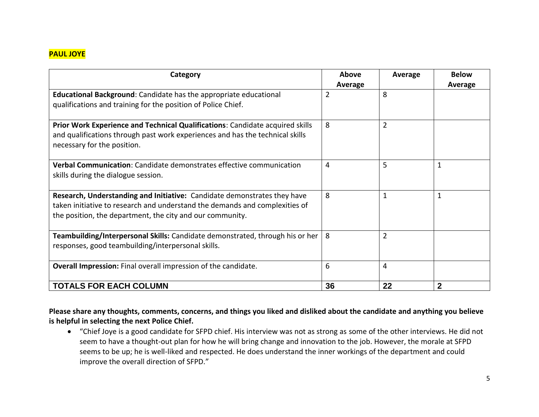# **PAUL JOYE**

| Category                                                                                                                                                                                                             | Above<br>Average | Average        | <b>Below</b><br>Average |
|----------------------------------------------------------------------------------------------------------------------------------------------------------------------------------------------------------------------|------------------|----------------|-------------------------|
| <b>Educational Background:</b> Candidate has the appropriate educational<br>qualifications and training for the position of Police Chief.                                                                            | $\overline{2}$   | 8              |                         |
| Prior Work Experience and Technical Qualifications: Candidate acquired skills<br>and qualifications through past work experiences and has the technical skills<br>necessary for the position.                        | 8                | $\overline{2}$ |                         |
| Verbal Communication: Candidate demonstrates effective communication<br>skills during the dialogue session.                                                                                                          | 4                | 5              | 1                       |
| Research, Understanding and Initiative: Candidate demonstrates they have<br>taken initiative to research and understand the demands and complexities of<br>the position, the department, the city and our community. | 8                | 1              | 1                       |
| Teambuilding/Interpersonal Skills: Candidate demonstrated, through his or her<br>responses, good teambuilding/interpersonal skills.                                                                                  | 8                | $\overline{2}$ |                         |
| Overall Impression: Final overall impression of the candidate.                                                                                                                                                       | 6                | 4              |                         |
| <b>TOTALS FOR EACH COLUMN</b>                                                                                                                                                                                        | 36               | 22             |                         |

**Please share any thoughts, comments, concerns, and things you liked and disliked about the candidate and anything you believe is helpful in selecting the next Police Chief.** 

 "Chief Joye is a good candidate for SFPD chief. His interview was not as strong as some of the other interviews. He did not seem to have a thought-out plan for how he will bring change and innovation to the job. However, the morale at SFPD seems to be up; he is well-liked and respected. He does understand the inner workings of the department and could improve the overall direction of SFPD."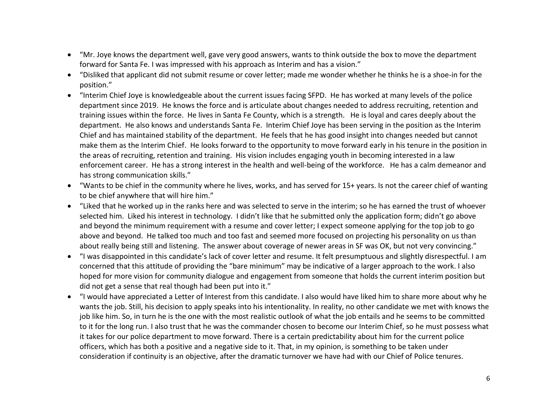- "Mr. Joye knows the department well, gave very good answers, wants to think outside the box to move the department forward for Santa Fe. I was impressed with his approach as Interim and has a vision."
- "Disliked that applicant did not submit resume or cover letter; made me wonder whether he thinks he is a shoe-in for the position."
- "Interim Chief Joye is knowledgeable about the current issues facing SFPD. He has worked at many levels of the police department since 2019. He knows the force and is articulate about changes needed to address recruiting, retention and training issues within the force. He lives in Santa Fe County, which is a strength. He is loyal and cares deeply about the department. He also knows and understands Santa Fe. Interim Chief Joye has been serving in the position as the Interim Chief and has maintained stability of the department. He feels that he has good insight into changes needed but cannot make them as the Interim Chief. He looks forward to the opportunity to move forward early in his tenure in the position in the areas of recruiting, retention and training. His vision includes engaging youth in becoming interested in a law enforcement career. He has a strong interest in the health and well-being of the workforce. He has a calm demeanor and has strong communication skills."
- "Wants to be chief in the community where he lives, works, and has served for 15+ years. Is not the career chief of wanting to be chief anywhere that will hire him."
- "Liked that he worked up in the ranks here and was selected to serve in the interim; so he has earned the trust of whoever selected him. Liked his interest in technology. I didn't like that he submitted only the application form; didn't go above and beyond the minimum requirement with a resume and cover letter; I expect someone applying for the top job to go above and beyond. He talked too much and too fast and seemed more focused on projecting his personality on us than about really being still and listening. The answer about coverage of newer areas in SF was OK, but not very convincing."
- "I was disappointed in this candidate's lack of cover letter and resume. It felt presumptuous and slightly disrespectful. I am concerned that this attitude of providing the "bare minimum" may be indicative of a larger approach to the work. I also hoped for more vision for community dialogue and engagement from someone that holds the current interim position but did not get a sense that real though had been put into it."
- "I would have appreciated a Letter of Interest from this candidate. I also would have liked him to share more about why he wants the job. Still, his decision to apply speaks into his intentionality. In reality, no other candidate we met with knows the job like him. So, in turn he is the one with the most realistic outlook of what the job entails and he seems to be committed to it for the long run. I also trust that he was the commander chosen to become our Interim Chief, so he must possess what it takes for our police department to move forward. There is a certain predictability about him for the current police officers, which has both a positive and a negative side to it. That, in my opinion, is something to be taken under consideration if continuity is an objective, after the dramatic turnover we have had with our Chief of Police tenures.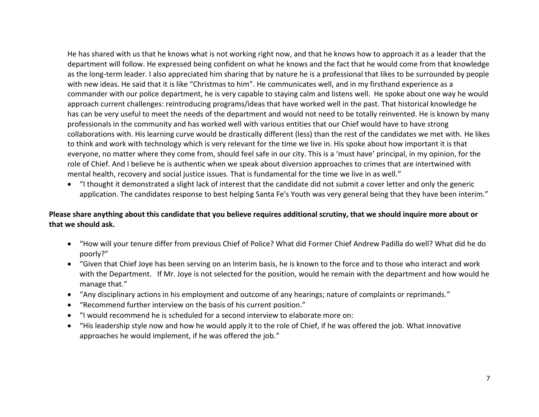He has shared with us that he knows what is not working right now, and that he knows how to approach it as a leader that the department will follow. He expressed being confident on what he knows and the fact that he would come from that knowledge as the long-term leader. I also appreciated him sharing that by nature he is a professional that likes to be surrounded by people with new ideas. He said that it is like "Christmas to him". He communicates well, and in my firsthand experience as a commander with our police department, he is very capable to staying calm and listens well. He spoke about one way he would approach current challenges: reintroducing programs/ideas that have worked well in the past. That historical knowledge he has can be very useful to meet the needs of the department and would not need to be totally reinvented. He is known by many professionals in the community and has worked well with various entities that our Chief would have to have strong collaborations with. His learning curve would be drastically different (less) than the rest of the candidates we met with. He likes to think and work with technology which is very relevant for the time we live in. His spoke about how important it is that everyone, no matter where they come from, should feel safe in our city. This is a 'must have' principal, in my opinion, for the role of Chief. And I believe he is authentic when we speak about diversion approaches to crimes that are intertwined with mental health, recovery and social justice issues. That is fundamental for the time we live in as well."

 "I thought it demonstrated a slight lack of interest that the candidate did not submit a cover letter and only the generic application. The candidates response to best helping Santa Fe's Youth was very general being that they have been interim."

### **Please share anything about this candidate that you believe requires additional scrutiny, that we should inquire more about or that we should ask.**

- "How will your tenure differ from previous Chief of Police? What did Former Chief Andrew Padilla do well? What did he do poorly?"
- "Given that Chief Joye has been serving on an Interim basis, he is known to the force and to those who interact and work with the Department. If Mr. Joye is not selected for the position, would he remain with the department and how would he manage that."
- "Any disciplinary actions in his employment and outcome of any hearings; nature of complaints or reprimands."
- "Recommend further interview on the basis of his current position."
- "I would recommend he is scheduled for a second interview to elaborate more on:
- "His leadership style now and how he would apply it to the role of Chief, if he was offered the job. What innovative approaches he would implement, if he was offered the job."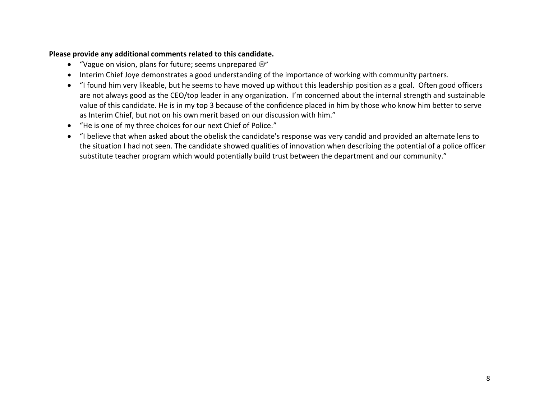- "Vague on vision, plans for future; seems unprepared  $\circledcirc$ "
- Interim Chief Joye demonstrates a good understanding of the importance of working with community partners.
- "I found him very likeable, but he seems to have moved up without this leadership position as a goal. Often good officers are not always good as the CEO/top leader in any organization. I'm concerned about the internal strength and sustainable value of this candidate. He is in my top 3 because of the confidence placed in him by those who know him better to serve as Interim Chief, but not on his own merit based on our discussion with him."
- "He is one of my three choices for our next Chief of Police."
- "I believe that when asked about the obelisk the candidate's response was very candid and provided an alternate lens to the situation I had not seen. The candidate showed qualities of innovation when describing the potential of a police officer substitute teacher program which would potentially build trust between the department and our community."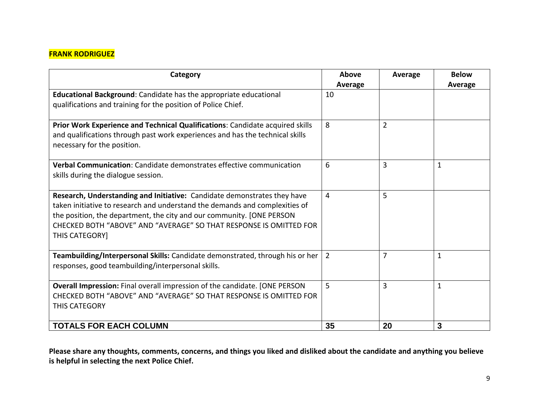# **FRANK RODRIGUEZ**

| Category                                                                                                                                                                                                                                                                                                                 | Above<br>Average | Average | <b>Below</b><br>Average |
|--------------------------------------------------------------------------------------------------------------------------------------------------------------------------------------------------------------------------------------------------------------------------------------------------------------------------|------------------|---------|-------------------------|
| Educational Background: Candidate has the appropriate educational<br>qualifications and training for the position of Police Chief.                                                                                                                                                                                       | 10               |         |                         |
| Prior Work Experience and Technical Qualifications: Candidate acquired skills<br>and qualifications through past work experiences and has the technical skills<br>necessary for the position.                                                                                                                            | 8                | 2       |                         |
| Verbal Communication: Candidate demonstrates effective communication<br>skills during the dialogue session.                                                                                                                                                                                                              | 6                | 3       | $\mathbf 1$             |
| Research, Understanding and Initiative: Candidate demonstrates they have<br>taken initiative to research and understand the demands and complexities of<br>the position, the department, the city and our community. [ONE PERSON<br>CHECKED BOTH "ABOVE" AND "AVERAGE" SO THAT RESPONSE IS OMITTED FOR<br>THIS CATEGORY] | 4                | 5       |                         |
| Teambuilding/Interpersonal Skills: Candidate demonstrated, through his or her<br>responses, good teambuilding/interpersonal skills.                                                                                                                                                                                      | $\overline{2}$   | 7       | $\mathbf{1}$            |
| Overall Impression: Final overall impression of the candidate. [ONE PERSON<br>CHECKED BOTH "ABOVE" AND "AVERAGE" SO THAT RESPONSE IS OMITTED FOR<br>THIS CATEGORY                                                                                                                                                        | 5                | 3       | $\mathbf{1}$            |
| <b>TOTALS FOR EACH COLUMN</b>                                                                                                                                                                                                                                                                                            | 35               | 20      | 3                       |

**Please share any thoughts, comments, concerns, and things you liked and disliked about the candidate and anything you believe is helpful in selecting the next Police Chief.**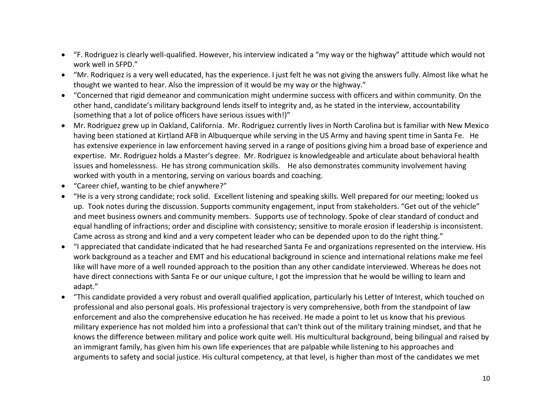- "F. Rodriguez is clearly well-qualified. However, his interview indicated a "my way or the highway" attitude which would not work well in SFPD."
- "Mr. Rodriquez is a very well educated, has the experience. I just felt he was not giving the answers fully. Almost like what he thought we wanted to hear. Also the impression of it would be my way or the highway."
- "Concerned that rigid demeanor and communication might undermine success with officers and within community. On the other hand, candidate's military background lends itself to integrity and, as he stated in the interview, accountability (something that a lot of police officers have serious issues with!)"
- Mr. Rodriguez grew up in Oakland, California. Mr. Rodriguez currently lives in North Carolina but is familiar with New Mexico having been stationed at Kirtland AFB in Albuquerque while serving in the US Army and having spent time in Santa Fe. He has extensive experience in law enforcement having served in a range of positions giving him a broad base of experience and expertise. Mr. Rodriguez holds a Master's degree. Mr. Rodriguez is knowledgeable and articulate about behavioral health issues and homelessness. He has strong communication skills. He also demonstrates community involvement having worked with youth in a mentoring, serving on various boards and coaching.
- "Career chief, wanting to be chief anywhere?"
- "He is a very strong candidate; rock solid. Excellent listening and speaking skills. Well prepared for our meeting; looked us up. Took notes during the discussion. Supports community engagement, input from stakeholders. "Get out of the vehicle" and meet business owners and community members. Supports use of technology. Spoke of clear standard of conduct and equal handling of infractions; order and discipline with consistency; sensitive to morale erosion if leadership is inconsistent. Came across as strong and kind and a very competent leader who can be depended upon to do the right thing."
- "I appreciated that candidate indicated that he had researched Santa Fe and organizations represented on the interview. His work background as a teacher and EMT and his educational background in science and international relations make me feel like will have more of a well rounded approach to the position than any other candidate interviewed. Whereas he does not have direct connections with Santa Fe or our unique culture, I got the impression that he would be willing to learn and adapt."
- "This candidate provided a very robust and overall qualified application, particularly his Letter of Interest, which touched on professional and also personal goals. His professional trajectory is very comprehensive, both from the standpoint of law enforcement and also the comprehensive education he has received. He made a point to let us know that his previous military experience has not molded him into a professional that can't think out of the military training mindset, and that he knows the difference between military and police work quite well. His multicultural background, being bilingual and raised by an immigrant family, has given him his own life experiences that are palpable while listening to his approaches and arguments to safety and social justice. His cultural competency, at that level, is higher than most of the candidates we met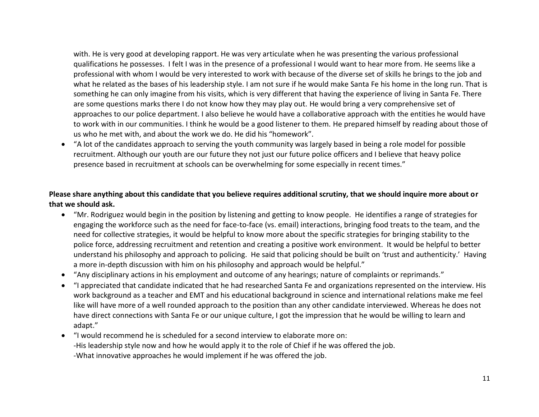with. He is very good at developing rapport. He was very articulate when he was presenting the various professional qualifications he possesses. I felt I was in the presence of a professional I would want to hear more from. He seems like a professional with whom I would be very interested to work with because of the diverse set of skills he brings to the job and what he related as the bases of his leadership style. I am not sure if he would make Santa Fe his home in the long run. That is something he can only imagine from his visits, which is very different that having the experience of living in Santa Fe. There are some questions marks there I do not know how they may play out. He would bring a very comprehensive set of approaches to our police department. I also believe he would have a collaborative approach with the entities he would have to work with in our communities. I think he would be a good listener to them. He prepared himself by reading about those of us who he met with, and about the work we do. He did his "homework".

 "A lot of the candidates approach to serving the youth community was largely based in being a role model for possible recruitment. Although our youth are our future they not just our future police officers and I believe that heavy police presence based in recruitment at schools can be overwhelming for some especially in recent times."

### **Please share anything about this candidate that you believe requires additional scrutiny, that we should inquire more about or that we should ask.**

- "Mr. Rodriguez would begin in the position by listening and getting to know people. He identifies a range of strategies for engaging the workforce such as the need for face-to-face (vs. email) interactions, bringing food treats to the team, and the need for collective strategies, it would be helpful to know more about the specific strategies for bringing stability to the police force, addressing recruitment and retention and creating a positive work environment. It would be helpful to better understand his philosophy and approach to policing. He said that policing should be built on 'trust and authenticity.' Having a more in-depth discussion with him on his philosophy and approach would be helpful."
- "Any disciplinary actions in his employment and outcome of any hearings; nature of complaints or reprimands."
- "I appreciated that candidate indicated that he had researched Santa Fe and organizations represented on the interview. His work background as a teacher and EMT and his educational background in science and international relations make me feel like will have more of a well rounded approach to the position than any other candidate interviewed. Whereas he does not have direct connections with Santa Fe or our unique culture, I got the impression that he would be willing to learn and adapt."
- "I would recommend he is scheduled for a second interview to elaborate more on: -His leadership style now and how he would apply it to the role of Chief if he was offered the job. -What innovative approaches he would implement if he was offered the job.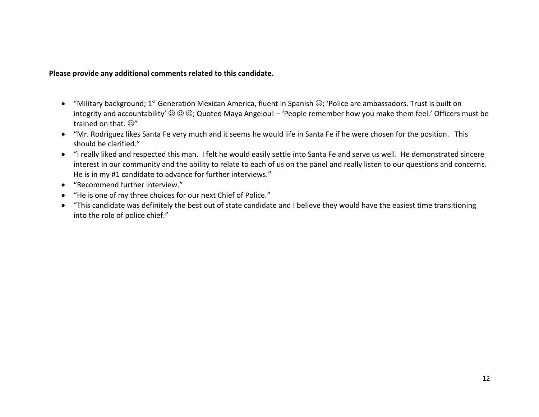- "Military background; 1<sup>st</sup> Generation Mexican America, fluent in Spanish ©; 'Police are ambassadors. Trust is built on integrity and accountability'  $\circledcirc \circledcirc$ ; Quoted Maya Angelou! – 'People remember how you make them feel.' Officers must be trained on that.  $\mathbb{O}^n$
- "Mr. Rodriguez likes Santa Fe very much and it seems he would life in Santa Fe if he were chosen for the position. This should be clarified."
- "I really liked and respected this man. I felt he would easily settle into Santa Fe and serve us well. He demonstrated sincere interest in our community and the ability to relate to each of us on the panel and really listen to our questions and concerns. He is in my #1 candidate to advance for further interviews."
- "Recommend further interview."
- "He is one of my three choices for our next Chief of Police."
- "This candidate was definitely the best out of state candidate and I believe they would have the easiest time transitioning into the role of police chief."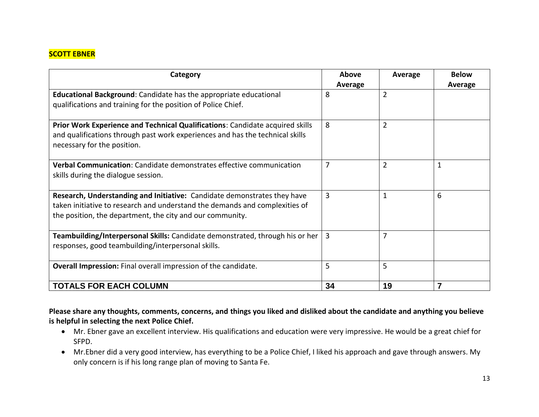# **SCOTT EBNER**

| Category                                                                                                                                                                                                             | Above<br>Average | Average        | <b>Below</b><br>Average |
|----------------------------------------------------------------------------------------------------------------------------------------------------------------------------------------------------------------------|------------------|----------------|-------------------------|
| <b>Educational Background:</b> Candidate has the appropriate educational<br>qualifications and training for the position of Police Chief.                                                                            | 8                | $\overline{2}$ |                         |
| Prior Work Experience and Technical Qualifications: Candidate acquired skills<br>and qualifications through past work experiences and has the technical skills<br>necessary for the position.                        | 8                | $\overline{2}$ |                         |
| Verbal Communication: Candidate demonstrates effective communication<br>skills during the dialogue session.                                                                                                          | 7                | $\overline{2}$ | 1                       |
| Research, Understanding and Initiative: Candidate demonstrates they have<br>taken initiative to research and understand the demands and complexities of<br>the position, the department, the city and our community. | 3                | $\mathbf{1}$   | 6                       |
| Teambuilding/Interpersonal Skills: Candidate demonstrated, through his or her<br>responses, good teambuilding/interpersonal skills.                                                                                  | 3                | 7              |                         |
| Overall Impression: Final overall impression of the candidate.                                                                                                                                                       | 5                | 5              |                         |
| <b>TOTALS FOR EACH COLUMN</b>                                                                                                                                                                                        | 34               | 19             |                         |

**Please share any thoughts, comments, concerns, and things you liked and disliked about the candidate and anything you believe is helpful in selecting the next Police Chief.**

- Mr. Ebner gave an excellent interview. His qualifications and education were very impressive. He would be a great chief for SFPD.
- Mr.Ebner did a very good interview, has everything to be a Police Chief, I liked his approach and gave through answers. My only concern is if his long range plan of moving to Santa Fe.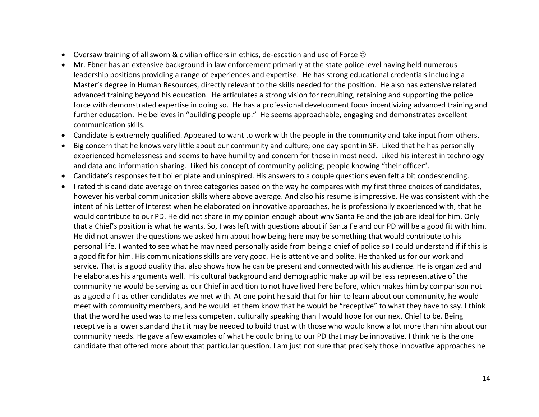- Oversaw training of all sworn & civilian officers in ethics, de-escation and use of Force  $\odot$
- Mr. Ebner has an extensive background in law enforcement primarily at the state police level having held numerous leadership positions providing a range of experiences and expertise. He has strong educational credentials including a Master's degree in Human Resources, directly relevant to the skills needed for the position. He also has extensive related advanced training beyond his education. He articulates a strong vision for recruiting, retaining and supporting the police force with demonstrated expertise in doing so. He has a professional development focus incentivizing advanced training and further education. He believes in "building people up." He seems approachable, engaging and demonstrates excellent communication skills.
- Candidate is extremely qualified. Appeared to want to work with the people in the community and take input from others.
- Big concern that he knows very little about our community and culture; one day spent in SF. Liked that he has personally experienced homelessness and seems to have humility and concern for those in most need. Liked his interest in technology and data and information sharing. Liked his concept of community policing; people knowing "their officer".
- Candidate's responses felt boiler plate and uninspired. His answers to a couple questions even felt a bit condescending.
- I rated this candidate average on three categories based on the way he compares with my first three choices of candidates, however his verbal communication skills where above average. And also his resume is impressive. He was consistent with the intent of his Letter of Interest when he elaborated on innovative approaches, he is professionally experienced with, that he would contribute to our PD. He did not share in my opinion enough about why Santa Fe and the job are ideal for him. Only that a Chief's position is what he wants. So, I was left with questions about if Santa Fe and our PD will be a good fit with him. He did not answer the questions we asked him about how being here may be something that would contribute to his personal life. I wanted to see what he may need personally aside from being a chief of police so I could understand if if this is a good fit for him. His communications skills are very good. He is attentive and polite. He thanked us for our work and service. That is a good quality that also shows how he can be present and connected with his audience. He is organized and he elaborates his arguments well. His cultural background and demographic make up will be less representative of the community he would be serving as our Chief in addition to not have lived here before, which makes him by comparison not as a good a fit as other candidates we met with. At one point he said that for him to learn about our community, he would meet with community members, and he would let them know that he would be "receptive" to what they have to say. I think that the word he used was to me less competent culturally speaking than I would hope for our next Chief to be. Being receptive is a lower standard that it may be needed to build trust with those who would know a lot more than him about our community needs. He gave a few examples of what he could bring to our PD that may be innovative. I think he is the one candidate that offered more about that particular question. I am just not sure that precisely those innovative approaches he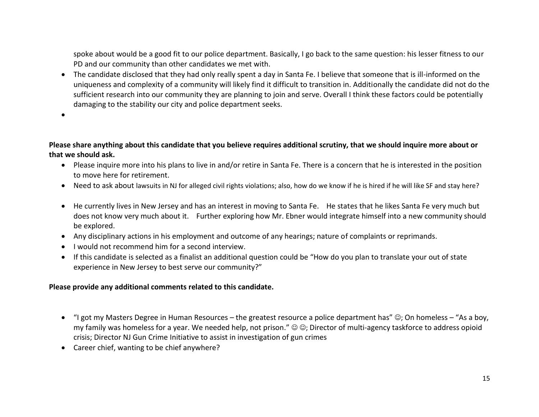spoke about would be a good fit to our police department. Basically, I go back to the same question: his lesser fitness to our PD and our community than other candidates we met with.

- The candidate disclosed that they had only really spent a day in Santa Fe. I believe that someone that is ill-informed on the uniqueness and complexity of a community will likely find it difficult to transition in. Additionally the candidate did not do the sufficient research into our community they are planning to join and serve. Overall I think these factors could be potentially damaging to the stability our city and police department seeks.
- $\bullet$

**Please share anything about this candidate that you believe requires additional scrutiny, that we should inquire more about or that we should ask.**

- Please inquire more into his plans to live in and/or retire in Santa Fe. There is a concern that he is interested in the position to move here for retirement.
- Need to ask about lawsuits in NJ for alleged civil rights violations; also, how do we know if he is hired if he will like SF and stay here?
- He currently lives in New Jersey and has an interest in moving to Santa Fe. He states that he likes Santa Fe very much but does not know very much about it. Further exploring how Mr. Ebner would integrate himself into a new community should be explored.
- Any disciplinary actions in his employment and outcome of any hearings; nature of complaints or reprimands.
- I would not recommend him for a second interview.
- If this candidate is selected as a finalist an additional question could be "How do you plan to translate your out of state experience in New Jersey to best serve our community?"

- "I got my Masters Degree in Human Resources the greatest resource a police department has" (3); On homeless "As a boy, my family was homeless for a year. We needed help, not prison."  $\odot \odot$ ; Director of multi-agency taskforce to address opioid crisis; Director NJ Gun Crime Initiative to assist in investigation of gun crimes
- Career chief, wanting to be chief anywhere?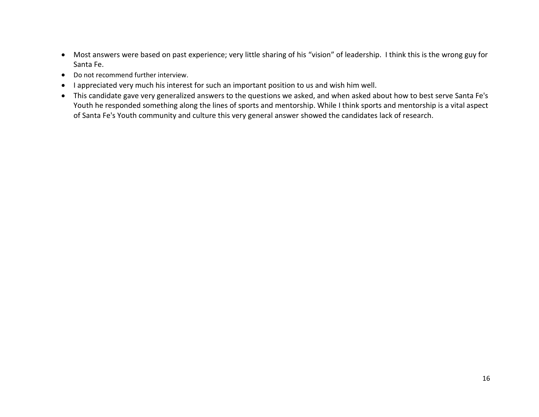- Most answers were based on past experience; very little sharing of his "vision" of leadership. I think this is the wrong guy for Santa Fe.
- Do not recommend further interview.
- I appreciated very much his interest for such an important position to us and wish him well.
- This candidate gave very generalized answers to the questions we asked, and when asked about how to best serve Santa Fe's Youth he responded something along the lines of sports and mentorship. While I think sports and mentorship is a vital aspect of Santa Fe's Youth community and culture this very general answer showed the candidates lack of research.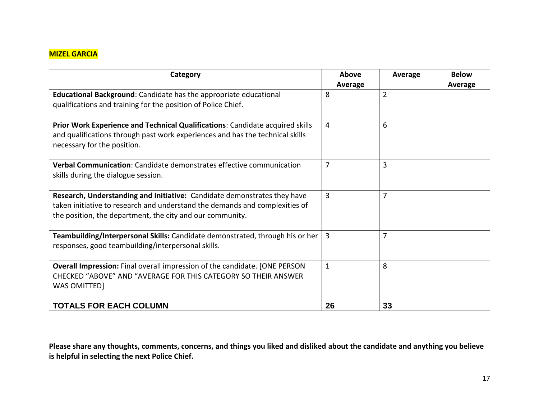# **MIZEL GARCIA**

| Category                                                                                                                                                                                                             | Above<br>Average | Average        | <b>Below</b><br>Average |
|----------------------------------------------------------------------------------------------------------------------------------------------------------------------------------------------------------------------|------------------|----------------|-------------------------|
| <b>Educational Background:</b> Candidate has the appropriate educational<br>qualifications and training for the position of Police Chief.                                                                            | 8                | $\overline{2}$ |                         |
| Prior Work Experience and Technical Qualifications: Candidate acquired skills<br>and qualifications through past work experiences and has the technical skills<br>necessary for the position.                        | 4                | 6              |                         |
| Verbal Communication: Candidate demonstrates effective communication<br>skills during the dialogue session.                                                                                                          | $\overline{7}$   | 3              |                         |
| Research, Understanding and Initiative: Candidate demonstrates they have<br>taken initiative to research and understand the demands and complexities of<br>the position, the department, the city and our community. | 3                | 7              |                         |
| Teambuilding/Interpersonal Skills: Candidate demonstrated, through his or her<br>responses, good teambuilding/interpersonal skills.                                                                                  | $\overline{3}$   | 7              |                         |
| <b>Overall Impression:</b> Final overall impression of the candidate. [ONE PERSON<br>CHECKED "ABOVE" AND "AVERAGE FOR THIS CATEGORY SO THEIR ANSWER<br><b>WAS OMITTED]</b>                                           | $\mathbf{1}$     | 8              |                         |
| <b>TOTALS FOR EACH COLUMN</b>                                                                                                                                                                                        | 26               | 33             |                         |

**Please share any thoughts, comments, concerns, and things you liked and disliked about the candidate and anything you believe is helpful in selecting the next Police Chief.**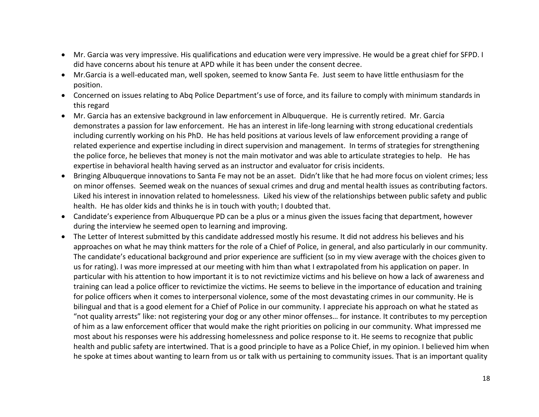- Mr. Garcia was very impressive. His qualifications and education were very impressive. He would be a great chief for SFPD. I did have concerns about his tenure at APD while it has been under the consent decree.
- Mr.Garcia is a well-educated man, well spoken, seemed to know Santa Fe. Just seem to have little enthusiasm for the position.
- Concerned on issues relating to Abq Police Department's use of force, and its failure to comply with minimum standards in this regard
- Mr. Garcia has an extensive background in law enforcement in Albuquerque. He is currently retired. Mr. Garcia demonstrates a passion for law enforcement. He has an interest in life-long learning with strong educational credentials including currently working on his PhD. He has held positions at various levels of law enforcement providing a range of related experience and expertise including in direct supervision and management. In terms of strategies for strengthening the police force, he believes that money is not the main motivator and was able to articulate strategies to help. He has expertise in behavioral health having served as an instructor and evaluator for crisis incidents.
- Bringing Albuquerque innovations to Santa Fe may not be an asset. Didn't like that he had more focus on violent crimes; less on minor offenses. Seemed weak on the nuances of sexual crimes and drug and mental health issues as contributing factors. Liked his interest in innovation related to homelessness. Liked his view of the relationships between public safety and public health. He has older kids and thinks he is in touch with youth; I doubted that.
- Candidate's experience from Albuquerque PD can be a plus or a minus given the issues facing that department, however during the interview he seemed open to learning and improving.
- The Letter of Interest submitted by this candidate addressed mostly his resume. It did not address his believes and his approaches on what he may think matters for the role of a Chief of Police, in general, and also particularly in our community. The candidate's educational background and prior experience are sufficient (so in my view average with the choices given to us for rating). I was more impressed at our meeting with him than what I extrapolated from his application on paper. In particular with his attention to how important it is to not revictimize victims and his believe on how a lack of awareness and training can lead a police officer to revictimize the victims. He seems to believe in the importance of education and training for police officers when it comes to interpersonal violence, some of the most devastating crimes in our community. He is bilingual and that is a good element for a Chief of Police in our community. I appreciate his approach on what he stated as "not quality arrests" like: not registering your dog or any other minor offenses… for instance. It contributes to my perception of him as a law enforcement officer that would make the right priorities on policing in our community. What impressed me most about his responses were his addressing homelessness and police response to it. He seems to recognize that public health and public safety are intertwined. That is a good principle to have as a Police Chief, in my opinion. I believed him when he spoke at times about wanting to learn from us or talk with us pertaining to community issues. That is an important quality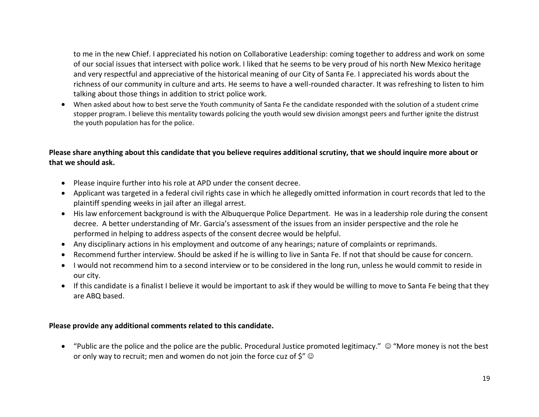to me in the new Chief. I appreciated his notion on Collaborative Leadership: coming together to address and work on some of our social issues that intersect with police work. I liked that he seems to be very proud of his north New Mexico heritage and very respectful and appreciative of the historical meaning of our City of Santa Fe. I appreciated his words about the richness of our community in culture and arts. He seems to have a well-rounded character. It was refreshing to listen to him talking about those things in addition to strict police work.

 When asked about how to best serve the Youth community of Santa Fe the candidate responded with the solution of a student crime stopper program. I believe this mentality towards policing the youth would sew division amongst peers and further ignite the distrust the youth population has for the police.

### **Please share anything about this candidate that you believe requires additional scrutiny, that we should inquire more about or that we should ask.**

- Please inquire further into his role at APD under the consent decree.
- Applicant was targeted in a federal civil rights case in which he allegedly omitted information in court records that led to the plaintiff spending weeks in jail after an illegal arrest.
- His law enforcement background is with the Albuquerque Police Department. He was in a leadership role during the consent decree. A better understanding of Mr. Garcia's assessment of the issues from an insider perspective and the role he performed in helping to address aspects of the consent decree would be helpful.
- Any disciplinary actions in his employment and outcome of any hearings; nature of complaints or reprimands.
- Recommend further interview. Should be asked if he is willing to live in Santa Fe. If not that should be cause for concern.
- I would not recommend him to a second interview or to be considered in the long run, unless he would commit to reside in our city.
- If this candidate is a finalist I believe it would be important to ask if they would be willing to move to Santa Fe being that they are ABQ based.

#### **Please provide any additional comments related to this candidate.**

 $\bullet$  "Public are the police and the police are the public. Procedural Justice promoted legitimacy."  $\odot$  "More money is not the best or only way to recruit; men and women do not join the force cuz of  $\zeta''$   $\odot$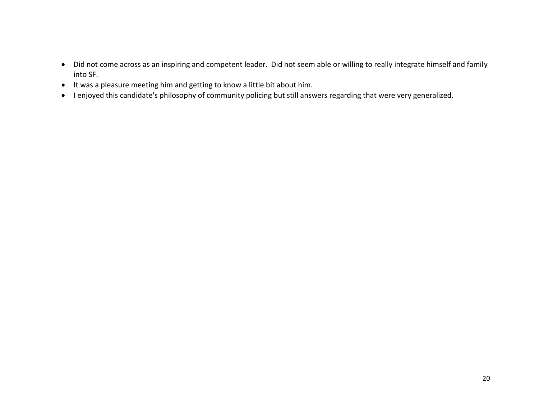- Did not come across as an inspiring and competent leader. Did not seem able or willing to really integrate himself and family into SF.
- $\bullet$  It was a pleasure meeting him and getting to know a little bit about him.
- I enjoyed this candidate's philosophy of community policing but still answers regarding that were very generalized.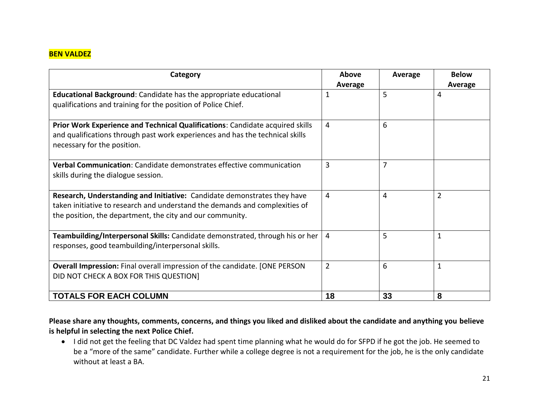# **BEN VALDEZ**

| Category                                                                                                                                                                                                             | Above<br>Average | Average | <b>Below</b><br>Average |
|----------------------------------------------------------------------------------------------------------------------------------------------------------------------------------------------------------------------|------------------|---------|-------------------------|
| Educational Background: Candidate has the appropriate educational<br>qualifications and training for the position of Police Chief.                                                                                   | 1                | 5       | 4                       |
| Prior Work Experience and Technical Qualifications: Candidate acquired skills<br>and qualifications through past work experiences and has the technical skills<br>necessary for the position.                        | 4                | 6       |                         |
| Verbal Communication: Candidate demonstrates effective communication<br>skills during the dialogue session.                                                                                                          | 3                | 7       |                         |
| Research, Understanding and Initiative: Candidate demonstrates they have<br>taken initiative to research and understand the demands and complexities of<br>the position, the department, the city and our community. | $\overline{4}$   | 4       | $\overline{2}$          |
| Teambuilding/Interpersonal Skills: Candidate demonstrated, through his or her<br>responses, good teambuilding/interpersonal skills.                                                                                  | $\overline{4}$   | 5       | 1                       |
| Overall Impression: Final overall impression of the candidate. [ONE PERSON<br>DID NOT CHECK A BOX FOR THIS QUESTION]                                                                                                 | $\overline{2}$   | 6       | 1                       |
| <b>TOTALS FOR EACH COLUMN</b>                                                                                                                                                                                        | 18               | 33      | 8                       |

**Please share any thoughts, comments, concerns, and things you liked and disliked about the candidate and anything you believe is helpful in selecting the next Police Chief.**

 I did not get the feeling that DC Valdez had spent time planning what he would do for SFPD if he got the job. He seemed to be a "more of the same" candidate. Further while a college degree is not a requirement for the job, he is the only candidate without at least a BA.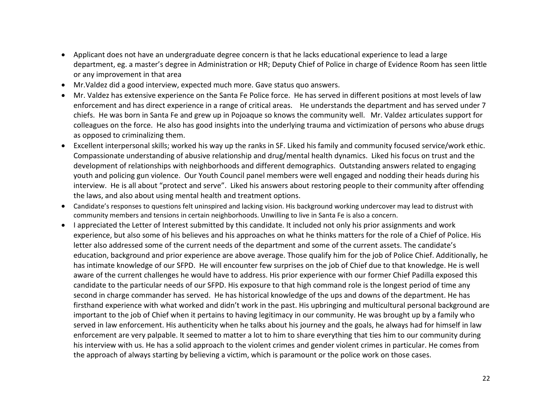- Applicant does not have an undergraduate degree concern is that he lacks educational experience to lead a large department, eg. a master's degree in Administration or HR; Deputy Chief of Police in charge of Evidence Room has seen little or any improvement in that area
- Mr.Valdez did a good interview, expected much more. Gave status quo answers.
- Mr. Valdez has extensive experience on the Santa Fe Police force. He has served in different positions at most levels of law enforcement and has direct experience in a range of critical areas. He understands the department and has served under 7 chiefs. He was born in Santa Fe and grew up in Pojoaque so knows the community well. Mr. Valdez articulates support for colleagues on the force. He also has good insights into the underlying trauma and victimization of persons who abuse drugs as opposed to criminalizing them.
- Excellent interpersonal skills; worked his way up the ranks in SF. Liked his family and community focused service/work ethic. Compassionate understanding of abusive relationship and drug/mental health dynamics. Liked his focus on trust and the development of relationships with neighborhoods and different demographics. Outstanding answers related to engaging youth and policing gun violence. Our Youth Council panel members were well engaged and nodding their heads during his interview. He is all about "protect and serve". Liked his answers about restoring people to their community after offending the laws, and also about using mental health and treatment options.
- Candidate's responses to questions felt uninspired and lacking vision. His background working undercover may lead to distrust with community members and tensions in certain neighborhoods. Unwilling to live in Santa Fe is also a concern.
- I appreciated the Letter of Interest submitted by this candidate. It included not only his prior assignments and work experience, but also some of his believes and his approaches on what he thinks matters for the role of a Chief of Police. His letter also addressed some of the current needs of the department and some of the current assets. The candidate's education, background and prior experience are above average. Those qualify him for the job of Police Chief. Additionally, he has intimate knowledge of our SFPD. He will encounter few surprises on the job of Chief due to that knowledge. He is well aware of the current challenges he would have to address. His prior experience with our former Chief Padilla exposed this candidate to the particular needs of our SFPD. His exposure to that high command role is the longest period of time any second in charge commander has served. He has historical knowledge of the ups and downs of the department. He has firsthand experience with what worked and didn't work in the past. His upbringing and multicultural personal background are important to the job of Chief when it pertains to having legitimacy in our community. He was brought up by a family who served in law enforcement. His authenticity when he talks about his journey and the goals, he always had for himself in law enforcement are very palpable. It seemed to matter a lot to him to share everything that ties him to our community during his interview with us. He has a solid approach to the violent crimes and gender violent crimes in particular. He comes from the approach of always starting by believing a victim, which is paramount or the police work on those cases.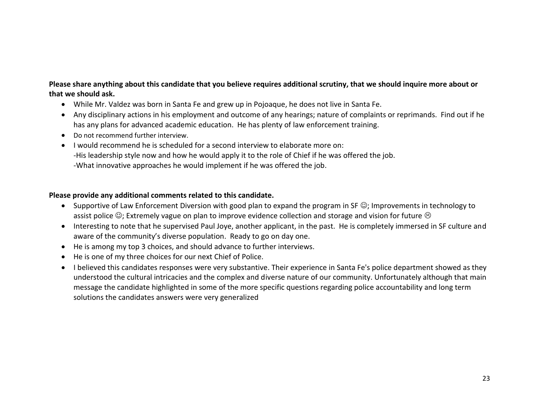# **Please share anything about this candidate that you believe requires additional scrutiny, that we should inquire more about or that we should ask.**

- While Mr. Valdez was born in Santa Fe and grew up in Pojoaque, he does not live in Santa Fe.
- Any disciplinary actions in his employment and outcome of any hearings; nature of complaints or reprimands. Find out if he has any plans for advanced academic education. He has plenty of law enforcement training.
- Do not recommend further interview.
- I would recommend he is scheduled for a second interview to elaborate more on: -His leadership style now and how he would apply it to the role of Chief if he was offered the job. -What innovative approaches he would implement if he was offered the job.

- Supportive of Law Enforcement Diversion with good plan to expand the program in SF  $\odot$ ; Improvements in technology to assist police  $\mathbb{C}$ ; Extremely vague on plan to improve evidence collection and storage and vision for future  $\odot$
- Interesting to note that he supervised Paul Joye, another applicant, in the past. He is completely immersed in SF culture and aware of the community's diverse population. Ready to go on day one.
- He is among my top 3 choices, and should advance to further interviews.
- He is one of my three choices for our next Chief of Police.
- I believed this candidates responses were very substantive. Their experience in Santa Fe's police department showed as they understood the cultural intricacies and the complex and diverse nature of our community. Unfortunately although that main message the candidate highlighted in some of the more specific questions regarding police accountability and long term solutions the candidates answers were very generalized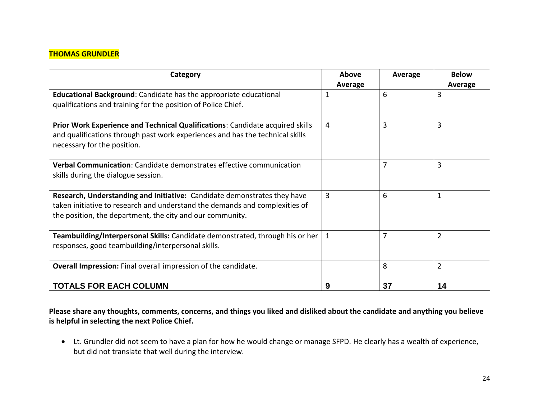### **THOMAS GRUNDLER**

| Category                                                                                                                                                                                                             | Above<br>Average | Average        | <b>Below</b><br>Average |
|----------------------------------------------------------------------------------------------------------------------------------------------------------------------------------------------------------------------|------------------|----------------|-------------------------|
| <b>Educational Background:</b> Candidate has the appropriate educational<br>qualifications and training for the position of Police Chief.                                                                            | 1                | 6              | 3                       |
| Prior Work Experience and Technical Qualifications: Candidate acquired skills<br>and qualifications through past work experiences and has the technical skills<br>necessary for the position.                        | 4                | 3              | 3                       |
| Verbal Communication: Candidate demonstrates effective communication<br>skills during the dialogue session.                                                                                                          |                  | $\overline{7}$ | 3                       |
| Research, Understanding and Initiative: Candidate demonstrates they have<br>taken initiative to research and understand the demands and complexities of<br>the position, the department, the city and our community. | 3                | 6              | 1                       |
| Teambuilding/Interpersonal Skills: Candidate demonstrated, through his or her<br>responses, good teambuilding/interpersonal skills.                                                                                  | $\mathbf{1}$     | 7              | $\overline{2}$          |
| Overall Impression: Final overall impression of the candidate.                                                                                                                                                       |                  | 8              | $\overline{2}$          |
| <b>TOTALS FOR EACH COLUMN</b>                                                                                                                                                                                        | 9                | 37             | 14                      |

**Please share any thoughts, comments, concerns, and things you liked and disliked about the candidate and anything you believe is helpful in selecting the next Police Chief.** 

 Lt. Grundler did not seem to have a plan for how he would change or manage SFPD. He clearly has a wealth of experience, but did not translate that well during the interview.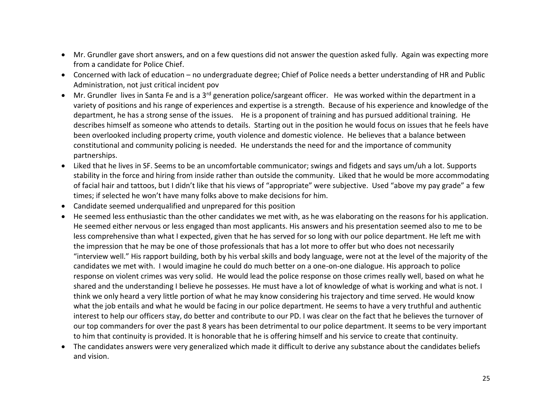- Mr. Grundler gave short answers, and on a few questions did not answer the question asked fully. Again was expecting more from a candidate for Police Chief.
- Concerned with lack of education no undergraduate degree; Chief of Police needs a better understanding of HR and Public Administration, not just critical incident pov
- Mr. Grundler lives in Santa Fe and is a 3<sup>rd</sup> generation police/sargeant officer. He was worked within the department in a variety of positions and his range of experiences and expertise is a strength. Because of his experience and knowledge of the department, he has a strong sense of the issues. He is a proponent of training and has pursued additional training. He describes himself as someone who attends to details. Starting out in the position he would focus on issues that he feels have been overlooked including property crime, youth violence and domestic violence. He believes that a balance between constitutional and community policing is needed. He understands the need for and the importance of community partnerships.
- Liked that he lives in SF. Seems to be an uncomfortable communicator; swings and fidgets and says um/uh a lot. Supports stability in the force and hiring from inside rather than outside the community. Liked that he would be more accommodating of facial hair and tattoos, but I didn't like that his views of "appropriate" were subjective. Used "above my pay grade" a few times; if selected he won't have many folks above to make decisions for him.
- Candidate seemed underqualified and unprepared for this position
- He seemed less enthusiastic than the other candidates we met with, as he was elaborating on the reasons for his application. He seemed either nervous or less engaged than most applicants. His answers and his presentation seemed also to me to be less comprehensive than what I expected, given that he has served for so long with our police department. He left me with the impression that he may be one of those professionals that has a lot more to offer but who does not necessarily "interview well." His rapport building, both by his verbal skills and body language, were not at the level of the majority of the candidates we met with. I would imagine he could do much better on a one-on-one dialogue. His approach to police response on violent crimes was very solid. He would lead the police response on those crimes really well, based on what he shared and the understanding I believe he possesses. He must have a lot of knowledge of what is working and what is not. I think we only heard a very little portion of what he may know considering his trajectory and time served. He would know what the job entails and what he would be facing in our police department. He seems to have a very truthful and authentic interest to help our officers stay, do better and contribute to our PD. I was clear on the fact that he believes the turnover of our top commanders for over the past 8 years has been detrimental to our police department. It seems to be very important to him that continuity is provided. It is honorable that he is offering himself and his service to create that continuity.
- The candidates answers were very generalized which made it difficult to derive any substance about the candidates beliefs and vision.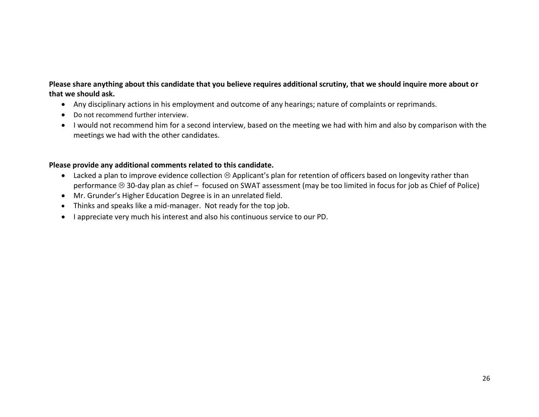# **Please share anything about this candidate that you believe requires additional scrutiny, that we should inquire more about or that we should ask.**

- Any disciplinary actions in his employment and outcome of any hearings; nature of complaints or reprimands.
- Do not recommend further interview.
- I would not recommend him for a second interview, based on the meeting we had with him and also by comparison with the meetings we had with the other candidates.

- Lacked a plan to improve evidence collection  $\odot$  Applicant's plan for retention of officers based on longevity rather than performance  $\circledcirc$  30-day plan as chief – focused on SWAT assessment (may be too limited in focus for job as Chief of Police)
- Mr. Grunder's Higher Education Degree is in an unrelated field.
- Thinks and speaks like a mid-manager. Not ready for the top job.
- I appreciate very much his interest and also his continuous service to our PD.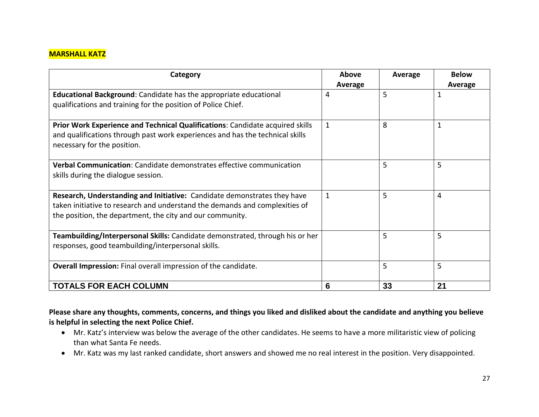# **MARSHALL KATZ**

| Category                                                                                                                                                                                                             | Above<br>Average | Average | <b>Below</b><br>Average |
|----------------------------------------------------------------------------------------------------------------------------------------------------------------------------------------------------------------------|------------------|---------|-------------------------|
| <b>Educational Background:</b> Candidate has the appropriate educational<br>qualifications and training for the position of Police Chief.                                                                            | 4                | 5       | 1                       |
| Prior Work Experience and Technical Qualifications: Candidate acquired skills<br>and qualifications through past work experiences and has the technical skills<br>necessary for the position.                        | $\mathbf{1}$     | 8       |                         |
| Verbal Communication: Candidate demonstrates effective communication<br>skills during the dialogue session.                                                                                                          |                  | 5       | 5                       |
| Research, Understanding and Initiative: Candidate demonstrates they have<br>taken initiative to research and understand the demands and complexities of<br>the position, the department, the city and our community. | $\mathbf{1}$     | 5       | 4                       |
| Teambuilding/Interpersonal Skills: Candidate demonstrated, through his or her<br>responses, good teambuilding/interpersonal skills.                                                                                  |                  | 5       | 5                       |
| Overall Impression: Final overall impression of the candidate.                                                                                                                                                       |                  | 5       | 5                       |
| <b>TOTALS FOR EACH COLUMN</b>                                                                                                                                                                                        | 6                | 33      | 21                      |

**Please share any thoughts, comments, concerns, and things you liked and disliked about the candidate and anything you believe is helpful in selecting the next Police Chief.** 

- Mr. Katz's interview was below the average of the other candidates. He seems to have a more militaristic view of policing than what Santa Fe needs.
- Mr. Katz was my last ranked candidate, short answers and showed me no real interest in the position. Very disappointed.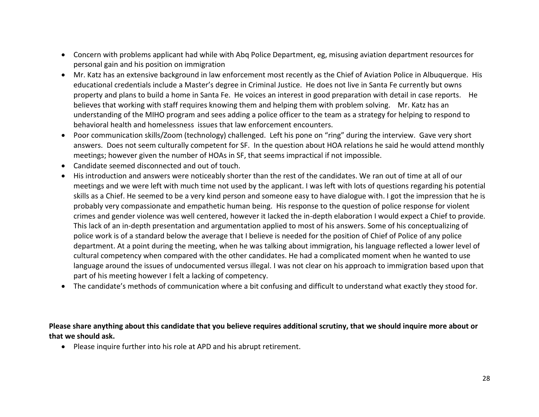- Concern with problems applicant had while with Abq Police Department, eg, misusing aviation department resources for personal gain and his position on immigration
- Mr. Katz has an extensive background in law enforcement most recently as the Chief of Aviation Police in Albuquerque. His educational credentials include a Master's degree in Criminal Justice. He does not live in Santa Fe currently but owns property and plans to build a home in Santa Fe. He voices an interest in good preparation with detail in case reports. He believes that working with staff requires knowing them and helping them with problem solving. Mr. Katz has an understanding of the MIHO program and sees adding a police officer to the team as a strategy for helping to respond to behavioral health and homelessness issues that law enforcement encounters.
- Poor communication skills/Zoom (technology) challenged. Left his pone on "ring" during the interview. Gave very short answers. Does not seem culturally competent for SF. In the question about HOA relations he said he would attend monthly meetings; however given the number of HOAs in SF, that seems impractical if not impossible.
- Candidate seemed disconnected and out of touch.
- His introduction and answers were noticeably shorter than the rest of the candidates. We ran out of time at all of our meetings and we were left with much time not used by the applicant. I was left with lots of questions regarding his potential skills as a Chief. He seemed to be a very kind person and someone easy to have dialogue with. I got the impression that he is probably very compassionate and empathetic human being. His response to the question of police response for violent crimes and gender violence was well centered, however it lacked the in-depth elaboration I would expect a Chief to provide. This lack of an in-depth presentation and argumentation applied to most of his answers. Some of his conceptualizing of police work is of a standard below the average that I believe is needed for the position of Chief of Police of any police department. At a point during the meeting, when he was talking about immigration, his language reflected a lower level of cultural competency when compared with the other candidates. He had a complicated moment when he wanted to use language around the issues of undocumented versus illegal. I was not clear on his approach to immigration based upon that part of his meeting however I felt a lacking of competency.
- The candidate's methods of communication where a bit confusing and difficult to understand what exactly they stood for.

**Please share anything about this candidate that you believe requires additional scrutiny, that we should inquire more about or that we should ask.**

Please inquire further into his role at APD and his abrupt retirement.